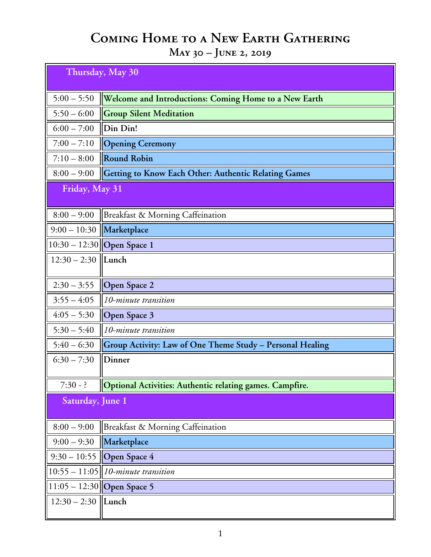## **Coming Home to a New Earth Gathering**

**May 30 – June 2, 2019**

| Thursday, May 30 |                                                             |  |
|------------------|-------------------------------------------------------------|--|
| $5:00 - 5:50$    | Welcome and Introductions: Coming Home to a New Earth       |  |
| $5:50 - 6:00$    | <b>Group Silent Meditation</b>                              |  |
| $6:00 - 7:00$    | Din Din!                                                    |  |
| $7:00 - 7:10$    | <b>Opening Ceremony</b>                                     |  |
| $7:10 - 8:00$    | <b>Round Robin</b>                                          |  |
| $8:00 - 9:00$    | <b>Getting to Know Each Other: Authentic Relating Games</b> |  |
| Friday, May 31   |                                                             |  |
| $8:00 - 9:00$    | Breakfast & Morning Caffeination                            |  |
| $9:00 - 10:30$   | Marketplace                                                 |  |
|                  | 10:30 – 12:30 Open Space 1                                  |  |
| $12:30 - 2:30$   | Lunch                                                       |  |
| $2:30 - 3:55$    | <b>Open Space 2</b>                                         |  |
| $3:55 - 4:05$    | 10-minute transition                                        |  |
| $4:05 - 5:30$    | Open Space 3                                                |  |
| $5:30 - 5:40$    | 10-minute transition                                        |  |
| $5:40 - 6:30$    | Group Activity: Law of One Theme Study - Personal Healing   |  |
| $6:30 - 7:30$    | Dinner                                                      |  |
| $7:30 - ?$       | Optional Activities: Authentic relating games. Campfire.    |  |
| Saturday, June 1 |                                                             |  |
| $8:00 - 9:00$    | Breakfast & Morning Caffeination                            |  |
| $9:00 - 9:30$    | Marketplace                                                 |  |
| $9:30 - 10:55$   | Open Space 4                                                |  |
|                  | $10:55 - 11:05$   10-minute transition                      |  |
|                  | 11:05 – 12:30 Open Space 5                                  |  |
| $12:30 - 2:30$   | $\ $ Lunch                                                  |  |